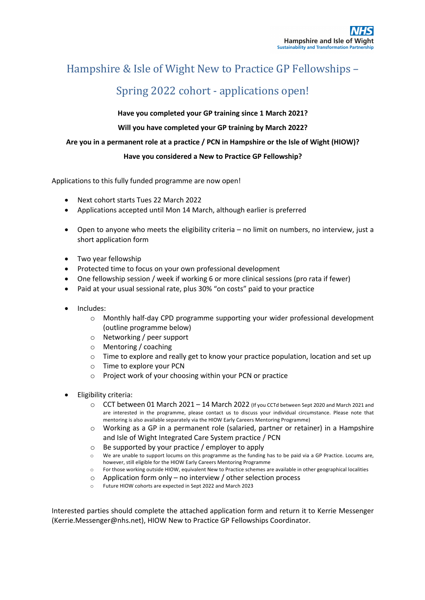## Hampshire & Isle of Wight New to Practice GP Fellowships -

# Spring 2022 cohort - applications open!

**Have you completed your GP training since 1 March 2021?**

### **Will you have completed your GP training by March 2022?**

#### **Are you in a permanent role at a practice / PCN in Hampshire or the Isle of Wight (HIOW)?**

#### **Have you considered a New to Practice GP Fellowship?**

Applications to this fully funded programme are now open!

- Next cohort starts Tues 22 March 2022
- Applications accepted until Mon 14 March, although earlier is preferred
- Open to anyone who meets the eligibility criteria no limit on numbers, no interview, just a short application form
- Two year fellowship
- Protected time to focus on your own professional development
- One fellowship session / week if working 6 or more clinical sessions (pro rata if fewer)
- Paid at your usual sessional rate, plus 30% "on costs" paid to your practice
- Includes:
	- o Monthly half-day CPD programme supporting your wider professional development (outline programme below)
	- o Networking / peer support
	- o Mentoring / coaching
	- o Time to explore and really get to know your practice population, location and set up
	- o Time to explore your PCN
	- o Project work of your choosing within your PCN or practice
- Eligibility criteria:
	- $\circ$  CCT between 01 March 2021 14 March 2022 (If you CCTd between Sept 2020 and March 2021 and are interested in the programme, please contact us to discuss your individual circumstance. Please note that mentoring is also available separately via the HIOW Early Careers Mentoring Programme)
	- $\circ$  Working as a GP in a permanent role (salaried, partner or retainer) in a Hampshire and Isle of Wight Integrated Care System practice / PCN
	- o Be supported by your practice / employer to apply
	- We are unable to support locums on this programme as the funding has to be paid via a GP Practice. Locums are, however, still eligible for the HIOW Early Careers Mentoring Programme
	- o For those working outside HIOW, equivalent New to Practice schemes are available in other geographical localities
	- $\circ$  Application form only no interview / other selection process
	- Future HIOW cohorts are expected in Sept 2022 and March 2023

Interested parties should complete the attached application form and return it to Kerrie Messenger (Kerrie.Messenger@nhs.net), HIOW New to Practice GP Fellowships Coordinator.